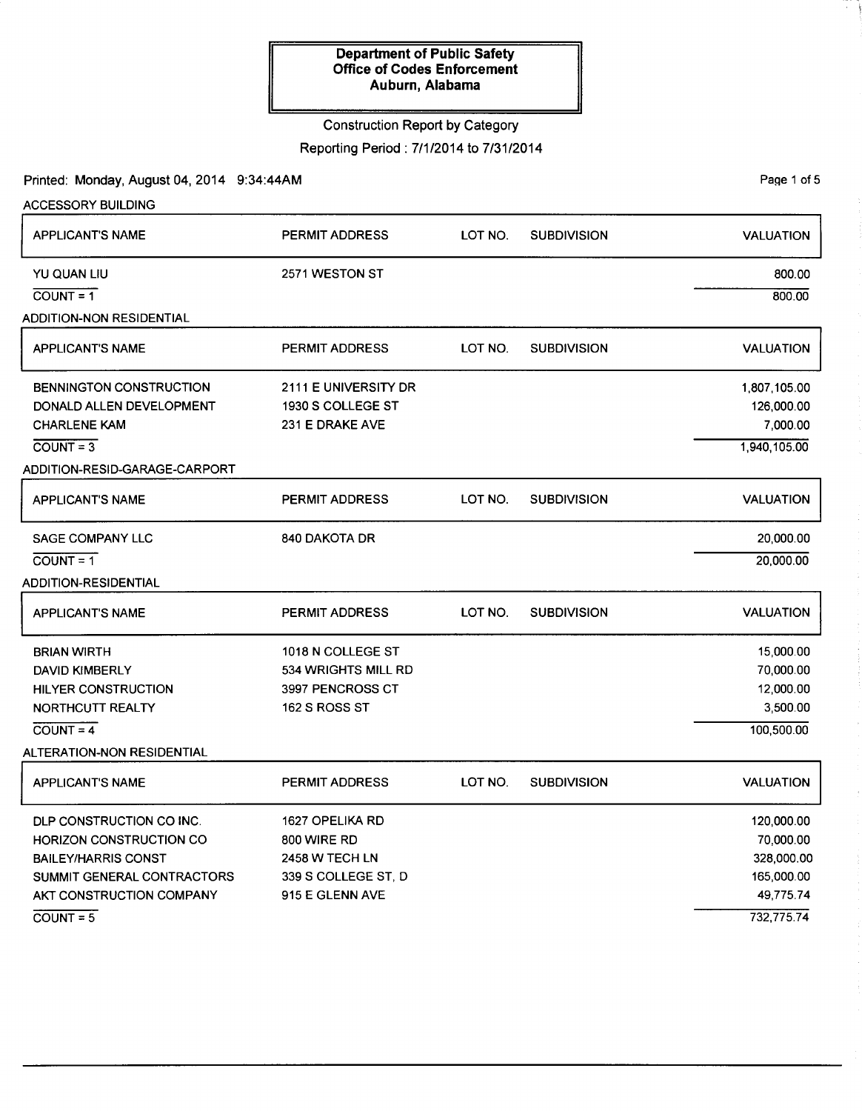# Construction Report by Category

Reporting Period: 7/1/2014 to 7/31/2014

Printed: Monday, August 04, 2014 9:34:44AM

| <b>ACCESSORY BUILDING</b>       |                       |         |                    |                  |
|---------------------------------|-----------------------|---------|--------------------|------------------|
| APPLICANT'S NAME                | <b>PERMIT ADDRESS</b> | LOT NO. | <b>SUBDIVISION</b> | <b>VALUATION</b> |
| YU QUAN LIU                     | 2571 WESTON ST        |         |                    | 800.00           |
| $COUNT = 1$                     |                       |         |                    | 800.00           |
| <b>ADDITION-NON RESIDENTIAL</b> |                       |         |                    |                  |
| <b>APPLICANT'S NAME</b>         | <b>PERMIT ADDRESS</b> | LOT NO. | <b>SUBDIVISION</b> | <b>VALUATION</b> |
| <b>BENNINGTON CONSTRUCTION</b>  | 2111 E UNIVERSITY DR  |         |                    | 1,807,105.00     |
| DONALD ALLEN DEVELOPMENT        | 1930 S COLLEGE ST     |         |                    | 126,000.00       |
| <b>CHARLENE KAM</b>             | 231 E DRAKE AVE       |         |                    | 7,000.00         |
| $\overline{COUNT} = 3$          |                       |         |                    | 1,940,105.00     |
| ADDITION-RESID-GARAGE-CARPORT   |                       |         |                    |                  |
| <b>APPLICANT'S NAME</b>         | <b>PERMIT ADDRESS</b> | LOT NO. | <b>SUBDIVISION</b> | <b>VALUATION</b> |
| SAGE COMPANY LLC                | 840 DAKOTA DR         |         |                    | 20,000.00        |
| $COUNT = 1$                     |                       |         |                    | 20,000.00        |
| <b>ADDITION-RESIDENTIAL</b>     |                       |         |                    |                  |
| <b>APPLICANT'S NAME</b>         | PERMIT ADDRESS        | LOT NO. | <b>SUBDIVISION</b> | <b>VALUATION</b> |
| <b>BRIAN WIRTH</b>              | 1018 N COLLEGE ST     |         |                    | 15,000.00        |
| DAVID KIMBERLY                  | 534 WRIGHTS MILL RD   |         |                    | 70,000.00        |
| <b>HILYER CONSTRUCTION</b>      | 3997 PENCROSS CT      |         |                    | 12,000.00        |
| NORTHCUTT REALTY                | 162 S ROSS ST         |         |                    | 3,500.00         |
| $CQUNT = 4$                     |                       |         |                    | 100,500.00       |
| ALTERATION-NON RESIDENTIAL      |                       |         |                    |                  |
| <b>APPLICANT'S NAME</b>         | <b>PERMIT ADDRESS</b> | LOT NO. | <b>SUBDIVISION</b> | <b>VALUATION</b> |
| DLP CONSTRUCTION CO INC.        | 1627 OPELIKA RD       |         |                    | 120,000.00       |
| HORIZON CONSTRUCTION CO         | 800 WIRE RD           |         |                    | 70,000.00        |
| <b>BAILEY/HARRIS CONST</b>      | <b>2458 W TECH LN</b> |         |                    | 328,000.00       |
| SUMMIT GENERAL CONTRACTORS      | 339 S COLLEGE ST, D   |         |                    | 165,000.00       |
| AKT CONSTRUCTION COMPANY        | 915 E GLENN AVE       |         |                    | 49,775.74        |
| $COUNT = 5$                     |                       |         |                    | 732,775.74       |

Page 1 of 5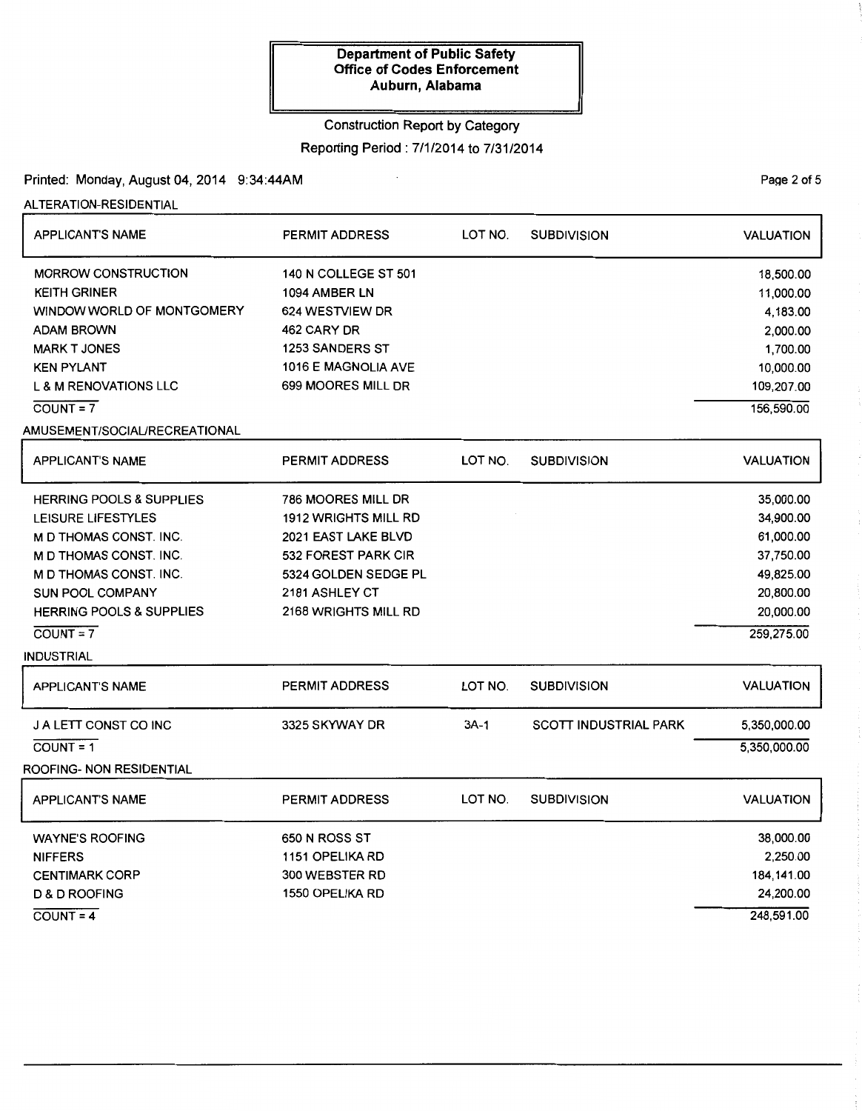# Construction Report by Category

Reporting Period : 7/1/2014 to 7/31/2014

Printed: Monday, August 04, 2014 9:34:44AM

ALTERATION-RESIDENTIAL

| <b>APPLICANT'S NAME</b>             | LOT NO.<br><b>PERMIT ADDRESS</b> |           | SUBDIVISION           | <b>VALUATION</b> |
|-------------------------------------|----------------------------------|-----------|-----------------------|------------------|
| <b>MORROW CONSTRUCTION</b>          | <b>140 N COLLEGE ST 501</b>      |           |                       | 18,500.00        |
| <b>KEITH GRINER</b>                 | 1094 AMBER LN                    | 11,000.00 |                       |                  |
| WINDOW WORLD OF MONTGOMERY          | 624 WESTVIEW DR                  | 4,183.00  |                       |                  |
| ADAM BROWN                          | 462 CARY DR                      |           |                       | 2,000.00         |
| <b>MARK T JONES</b>                 | <b>1253 SANDERS ST</b>           |           |                       | 1,700.00         |
| <b>KEN PYLANT</b>                   | 1016 E MAGNOLIA AVE              |           |                       | 10,000.00        |
| <b>L &amp; M RENOVATIONS LLC</b>    | 699 MOORES MILL DR               |           |                       | 109,207.00       |
| $COUNT = 7$                         |                                  |           |                       | 156,590.00       |
| AMUSEMENT/SOCIAL/RECREATIONAL       |                                  |           |                       |                  |
| <b>APPLICANT'S NAME</b>             | <b>PERMIT ADDRESS</b>            | LOT NO.   | <b>SUBDIVISION</b>    | <b>VALUATION</b> |
| <b>HERRING POOLS &amp; SUPPLIES</b> | 786 MOORES MILL DR               |           |                       | 35,000.00        |
| LEISURE LIFESTYLES                  | 1912 WRIGHTS MILL RD             |           |                       | 34,900.00        |
| <b>M D THOMAS CONST. INC.</b>       | 2021 EAST LAKE BLVD              |           |                       | 61,000.00        |
| <b>M D THOMAS CONST. INC.</b>       | 532 FOREST PARK CIR              |           |                       | 37,750.00        |
| M D THOMAS CONST. INC.              | 5324 GOLDEN SEDGE PL             |           |                       | 49,825.00        |
| <b>SUN POOL COMPANY</b>             | 2181 ASHLEY CT                   |           |                       | 20,800.00        |
| <b>HERRING POOLS &amp; SUPPLIES</b> | 2168 WRIGHTS MILL RD             |           |                       | 20,000.00        |
| $COUNT = 7$                         |                                  |           |                       | 259,275.00       |
| <b>INDUSTRIAL</b>                   |                                  |           |                       |                  |
| <b>APPLICANT'S NAME</b>             | PERMIT ADDRESS                   | LOT NO.   | <b>SUBDIVISION</b>    | <b>VALUATION</b> |
| J A LETT CONST CO INC               | 3325 SKYWAY DR                   | $3A-1$    | SCOTT INDUSTRIAL PARK | 5,350,000.00     |
| $COUNT = 1$                         |                                  |           |                       | 5,350,000.00     |
| ROOFING- NON RESIDENTIAL            |                                  |           |                       |                  |
| <b>APPLICANT'S NAME</b>             | PERMIT ADDRESS                   | LOT NO.   | <b>SUBDIVISION</b>    | <b>VALUATION</b> |
| <b>WAYNE'S ROOFING</b>              | 650 N ROSS ST                    |           |                       | 38,000.00        |
| <b>NIFFERS</b>                      | 1151 OPELIKA RD                  |           |                       | 2,250.00         |
| <b>CENTIMARK CORP</b>               | 300 WEBSTER RD                   |           |                       | 184,141.00       |
| <b>D &amp; D ROOFING</b>            | 1550 OPELIKA RD                  |           |                       | 24,200.00        |
| $COUNT = 4$                         |                                  |           |                       | 248,591.00       |

PaQe 2 of 5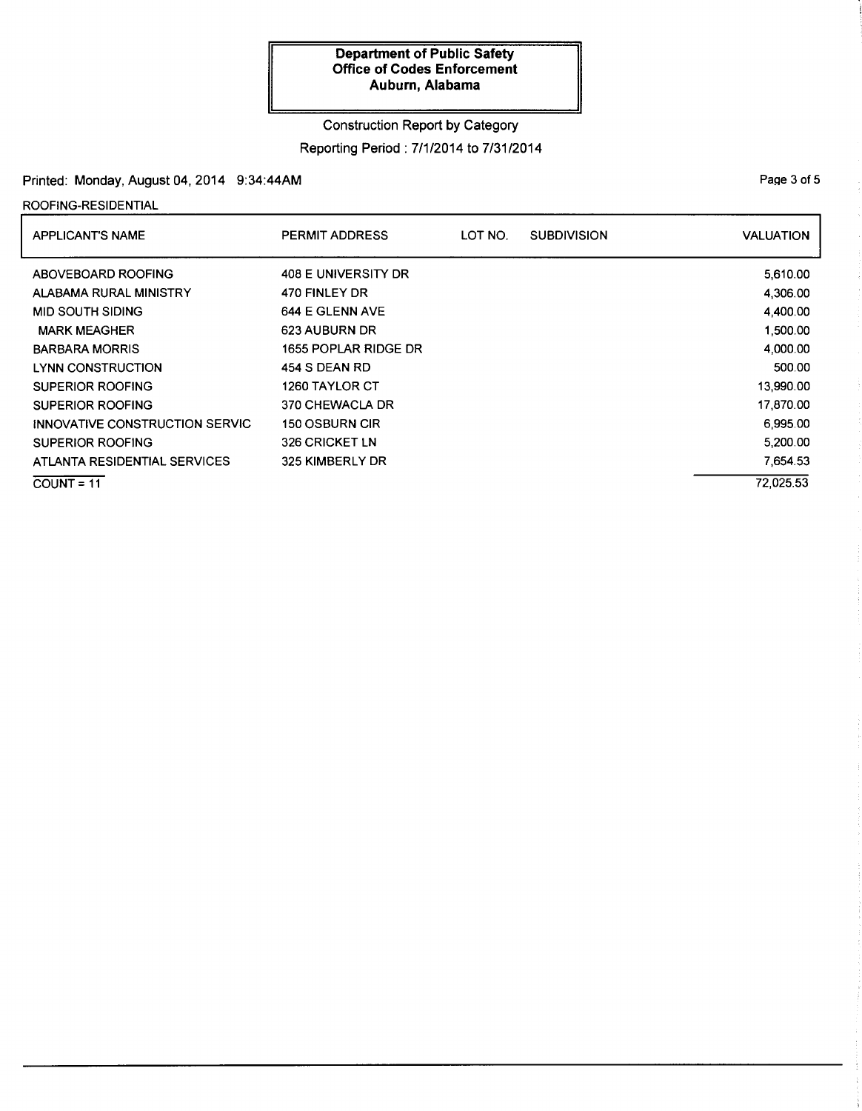# Construction Report by Category

# Reporting Period : 7/1/2014 to 7/31/2014

# Printed: Monday, August 04, 2014 9:34:44AM

ROOFING-RESIDENTIAL

| <b>APPLICANT'S NAME</b>        | <b>PERMIT ADDRESS</b> | LOT NO. | <b>SUBDIVISION</b> | <b>VALUATION</b> |
|--------------------------------|-----------------------|---------|--------------------|------------------|
| ABOVEBOARD ROOFING             | 408 E UNIVERSITY DR   |         |                    | 5,610.00         |
| ALABAMA RURAL MINISTRY         | 470 FINLEY DR         |         |                    | 4,306.00         |
| <b>MID SOUTH SIDING</b>        | 644 E GLENN AVE       |         |                    | 4.400.00         |
| <b>MARK MEAGHER</b>            | 623 AUBURN DR         |         |                    | 1,500.00         |
| <b>BARBARA MORRIS</b>          | 1655 POPLAR RIDGE DR  |         |                    | 4,000.00         |
| LYNN CONSTRUCTION              | 454 S DEAN RD         |         |                    | 500.00           |
| <b>SUPERIOR ROOFING</b>        | 1260 TAYLOR CT        |         |                    | 13,990.00        |
| SUPERIOR ROOFING               | 370 CHEWACLA DR       |         |                    | 17,870.00        |
| INNOVATIVE CONSTRUCTION SERVIC | <b>150 OSBURN CIR</b> |         |                    | 6,995.00         |
| <b>SUPERIOR ROOFING</b>        | 326 CRICKET LN        |         |                    | 5.200.00         |
| ATLANTA RESIDENTIAL SERVICES   | 325 KIMBERLY DR       |         |                    | 7.654.53         |
| $COUNT = 11$                   |                       |         |                    | 72.025.53        |

Page 3 of 5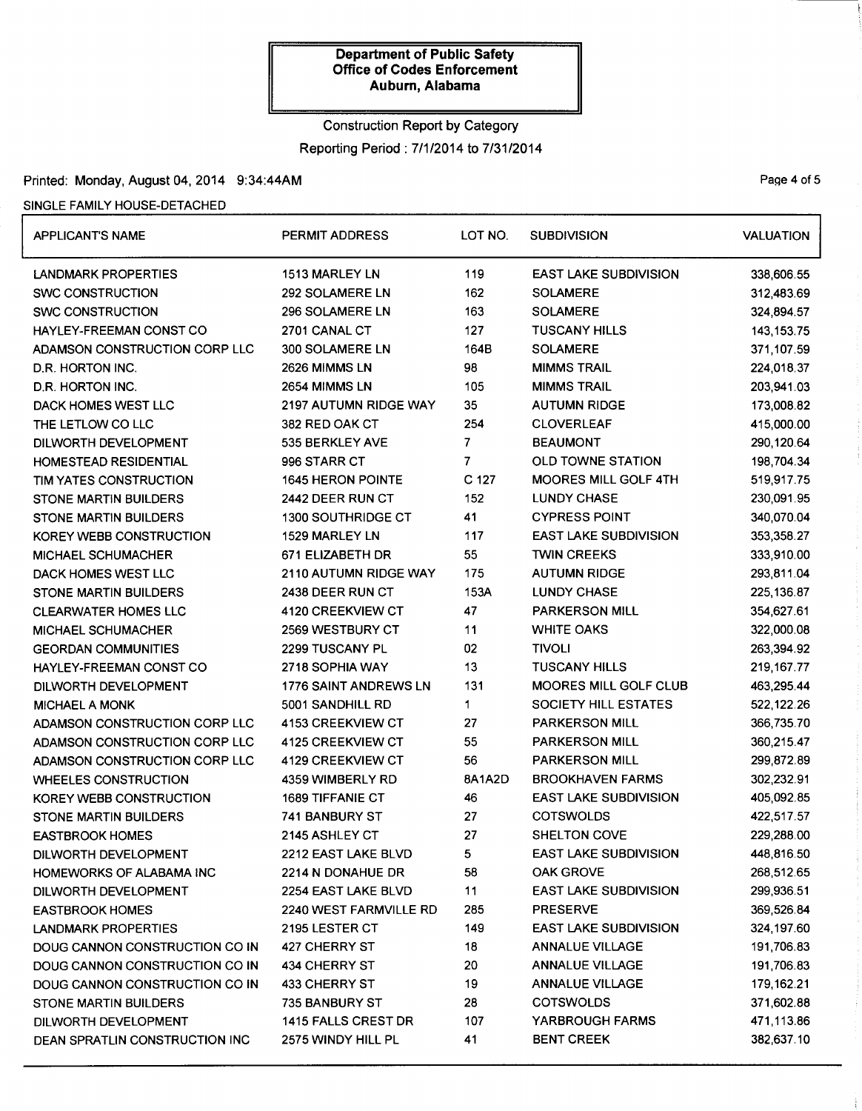# Construction Report by Category Reporting Period: 7/1/2014 to 7/31/2014

# Printed: Monday, August 04, 2014 9:34:44AM Printed: Monday, August 04, 2014 9:34:44AM

### SINGLE FAMILY HOUSE-DETACHED

| <b>APPLICANT'S NAME</b>        | PERMIT ADDRESS            |                | <b>SUBDIVISION</b>           | <b>VALUATION</b> |  |
|--------------------------------|---------------------------|----------------|------------------------------|------------------|--|
| LANDMARK PROPERTIES            | 1513 MARLEY LN            | 119            | <b>EAST LAKE SUBDIVISION</b> | 338,606.55       |  |
| <b>SWC CONSTRUCTION</b>        | 292 SOLAMERE LN           | 162            | <b>SOLAMERE</b>              | 312,483.69       |  |
| <b>SWC CONSTRUCTION</b>        | 296 SOLAMERE LN           | 163            | <b>SOLAMERE</b>              | 324,894.57       |  |
| HAYLEY-FREEMAN CONST CO        | 2701 CANAL CT             | 127            | <b>TUSCANY HILLS</b>         | 143, 153. 75     |  |
| ADAMSON CONSTRUCTION CORP LLC  | 300 SOLAMERE LN           | 164B           | <b>SOLAMERE</b>              | 371,107.59       |  |
| D.R. HORTON INC.               | 2626 MIMMS LN             | 98             | <b>MIMMS TRAIL</b>           | 224,018.37       |  |
| D.R. HORTON INC.               | 2654 MIMMS LN             | 105            | <b>MIMMS TRAIL</b>           | 203,941.03       |  |
| DACK HOMES WEST LLC            | 2197 AUTUMN RIDGE WAY     | 35             | <b>AUTUMN RIDGE</b>          | 173,008.82       |  |
| THE LETLOW CO LLC              | 382 RED OAK CT            | 254            | <b>CLOVERLEAF</b>            | 415,000.00       |  |
| DILWORTH DEVELOPMENT           | 535 BERKLEY AVE           | $\overline{7}$ | <b>BEAUMONT</b>              | 290,120.64       |  |
| HOMESTEAD RESIDENTIAL          | 996 STARR CT              | 7              | <b>OLD TOWNE STATION</b>     | 198,704.34       |  |
| TIM YATES CONSTRUCTION         | <b>1645 HERON POINTE</b>  | C 127          | <b>MOORES MILL GOLF 4TH</b>  | 519,917.75       |  |
| <b>STONE MARTIN BUILDERS</b>   | 2442 DEER RUN CT          | 152            | <b>LUNDY CHASE</b>           | 230,091.95       |  |
| STONE MARTIN BUILDERS          | <b>1300 SOUTHRIDGE CT</b> | 41             | <b>CYPRESS POINT</b>         | 340,070.04       |  |
| KOREY WEBB CONSTRUCTION        | 1529 MARLEY LN            | 117            | <b>EAST LAKE SUBDIVISION</b> | 353,358.27       |  |
| MICHAEL SCHUMACHER             | 671 ELIZABETH DR          | 55             | <b>TWIN CREEKS</b>           | 333,910.00       |  |
| DACK HOMES WEST LLC            | 2110 AUTUMN RIDGE WAY     | 175            | <b>AUTUMN RIDGE</b>          | 293,811.04       |  |
| STONE MARTIN BUILDERS          | 2438 DEER RUN CT          | 153A           | <b>LUNDY CHASE</b>           | 225, 136.87      |  |
| <b>CLEARWATER HOMES LLC</b>    | 4120 CREEKVIEW CT         | 47             | PARKERSON MILL               | 354,627.61       |  |
| MICHAEL SCHUMACHER             | <b>2569 WESTBURY CT</b>   | 11             | <b>WHITE OAKS</b>            | 322,000.08       |  |
| <b>GEORDAN COMMUNITIES</b>     | 2299 TUSCANY PL           | 02             | <b>TIVOLI</b>                | 263,394.92       |  |
| <b>HAYLEY-FREEMAN CONST CO</b> | 2718 SOPHIA WAY           | 13             | <b>TUSCANY HILLS</b>         | 219, 167.77      |  |
| DILWORTH DEVELOPMENT           | 1776 SAINT ANDREWS LN     | 131            | MOORES MILL GOLF CLUB        | 463,295.44       |  |
| <b>MICHAEL A MONK</b>          | 5001 SANDHILL RD          | 1              | SOCIETY HILL ESTATES         | 522,122.26       |  |
| ADAMSON CONSTRUCTION CORP LLC  | 4153 CREEKVIEW CT         | 27             | PARKERSON MILL               | 366,735.70       |  |
| ADAMSON CONSTRUCTION CORP LLC  | 4125 CREEKVIEW CT         | 55             | <b>PARKERSON MILL</b>        | 360,215.47       |  |
| ADAMSON CONSTRUCTION CORP LLC  | 4129 CREEKVIEW CT         | 56             | PARKERSON MILL               | 299,872.89       |  |
| <b>WHEELES CONSTRUCTION</b>    | 4359 WIMBERLY RD          | 8A1A2D         | <b>BROOKHAVEN FARMS</b>      | 302,232.91       |  |
| KOREY WEBB CONSTRUCTION        | <b>1689 TIFFANIE CT</b>   | 46             | <b>EAST LAKE SUBDIVISION</b> | 405,092.85       |  |
| STONE MARTIN BUILDERS          | 741 BANBURY ST            | 27             | <b>COTSWOLDS</b>             | 422,517.57       |  |
| <b>EASTBROOK HOMES</b>         | 2145 ASHLEY CT            | 27             | SHELTON COVE                 | 229,288.00       |  |
| DILWORTH DEVELOPMENT           | 2212 EAST LAKE BLVD       | 5              | <b>EAST LAKE SUBDIVISION</b> | 448,816.50       |  |
| HOMEWORKS OF ALABAMA INC       | 2214 N DONAHUE DR         | 58             | <b>OAK GROVE</b>             | 268,512.65       |  |
| DILWORTH DEVELOPMENT           | 2254 EAST LAKE BLVD       | 11             | <b>EAST LAKE SUBDIVISION</b> | 299,936.51       |  |
| <b>EASTBROOK HOMES</b>         | 2240 WEST FARMVILLE RD    | 285            | <b>PRESERVE</b>              | 369,526.84       |  |
| LANDMARK PROPERTIES            | 2195 LESTER CT            | 149            | <b>EAST LAKE SUBDIVISION</b> | 324,197.60       |  |
| DOUG CANNON CONSTRUCTION CO IN | 427 CHERRY ST             | 18             | ANNALUE VILLAGE              | 191,706.83       |  |
| DOUG CANNON CONSTRUCTION CO IN | 434 CHERRY ST             | 20             | <b>ANNALUE VILLAGE</b>       | 191,706.83       |  |
| DOUG CANNON CONSTRUCTION CO IN | 433 CHERRY ST             | 19             | <b>ANNALUE VILLAGE</b>       | 179,162.21       |  |
| <b>STONE MARTIN BUILDERS</b>   | <b>735 BANBURY ST</b>     | 28             | <b>COTSWOLDS</b>             | 371,602.88       |  |
| DILWORTH DEVELOPMENT           | 1415 FALLS CREST DR       | 107            | <b>YARBROUGH FARMS</b>       | 471,113.86       |  |
| DEAN SPRATLIN CONSTRUCTION INC | 2575 WINDY HILL PL        | 41             | <b>BENT CREEK</b>            | 382,637.10       |  |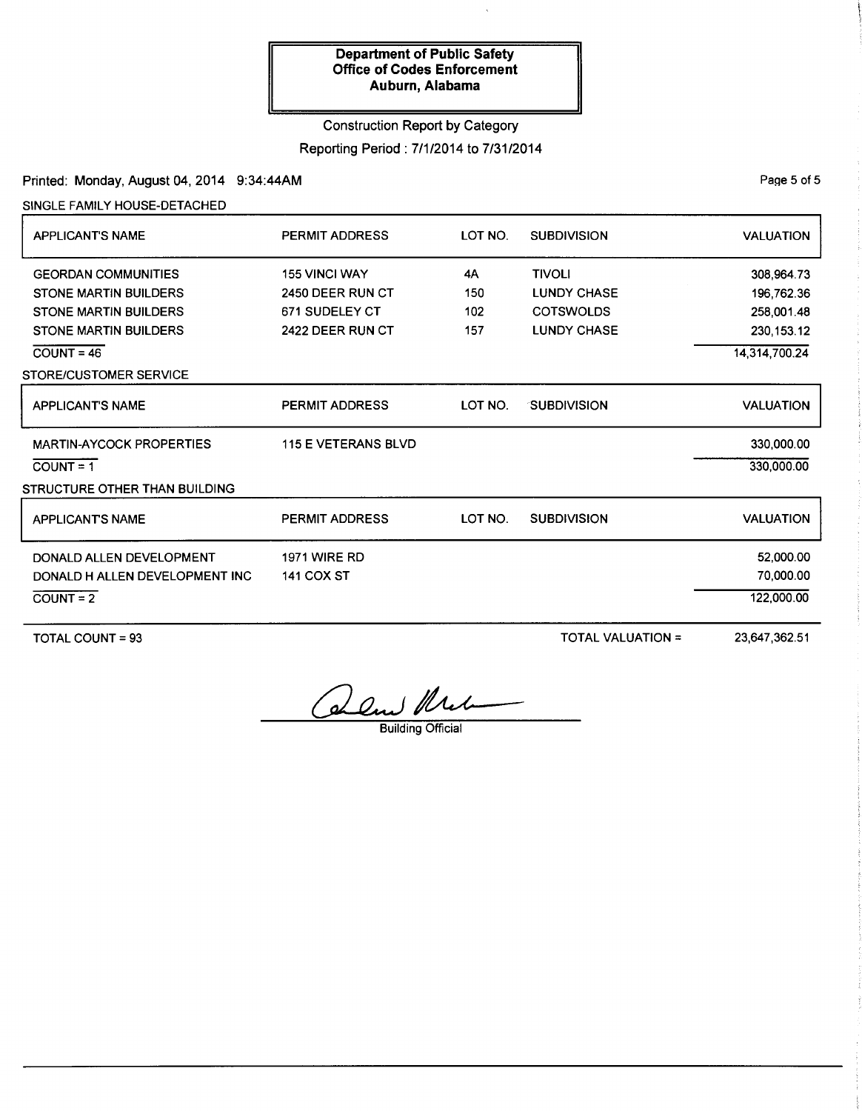# Construction Report by Category

# Reporting Period : 7/1/2014 to 7/31/2014

# Printed: Monday, August 04, 2014 9:34:44AM

SINGLE FAMILY HOUSE-DETACHED

| <b>APPLICANT'S NAME</b>         | <b>PERMIT ADDRESS</b>      | LOT NO. | <b>SUBDIVISION</b> | <b>VALUATION</b> |
|---------------------------------|----------------------------|---------|--------------------|------------------|
| <b>GEORDAN COMMUNITIES</b>      | <b>155 VINCI WAY</b>       | 4A      | <b>TIVOLI</b>      | 308,964.73       |
| <b>STONE MARTIN BUILDERS</b>    | 2450 DEER RUN CT           | 150     | <b>LUNDY CHASE</b> | 196,762.36       |
| <b>STONE MARTIN BUILDERS</b>    | 671 SUDELEY CT             | 102     | <b>COTSWOLDS</b>   | 258,001.48       |
| <b>STONE MARTIN BUILDERS</b>    | 2422 DEER RUN CT           | 157     | <b>LUNDY CHASE</b> | 230, 153.12      |
| $\overline{COUNT} = 46$         |                            |         |                    | 14,314,700.24    |
| STORE/CUSTOMER SERVICE          |                            |         |                    |                  |
| <b>APPLICANT'S NAME</b>         | <b>PERMIT ADDRESS</b>      | LOT NO. | <b>SUBDIVISION</b> | <b>VALUATION</b> |
| <b>MARTIN-AYCOCK PROPERTIES</b> | <b>115 E VETERANS BLVD</b> |         |                    | 330,000.00       |
| $COUNT = 1$                     |                            |         |                    | 330,000.00       |
| STRUCTURE OTHER THAN BUILDING   |                            |         |                    |                  |
| <b>APPLICANTS NAME</b>          | <b>PERMIT ADDRESS</b>      | LOT NO. | <b>SUBDIVISION</b> | <b>VALUATION</b> |
| DONALD ALLEN DEVELOPMENT        | <b>1971 WIRE RD</b>        |         |                    | 52,000.00        |
| DONALD H ALLEN DEVELOPMENT INC  | <b>141 COX ST</b>          |         |                    | 70,000.00        |
| $COUNT = 2$                     |                            |         |                    | 122,000.00       |
|                                 |                            |         |                    |                  |

TOTAL COUNT= 93

TOTAL VALUATION =

23,647,362.51

Calm Urel

Building Official

Page 5 of 5